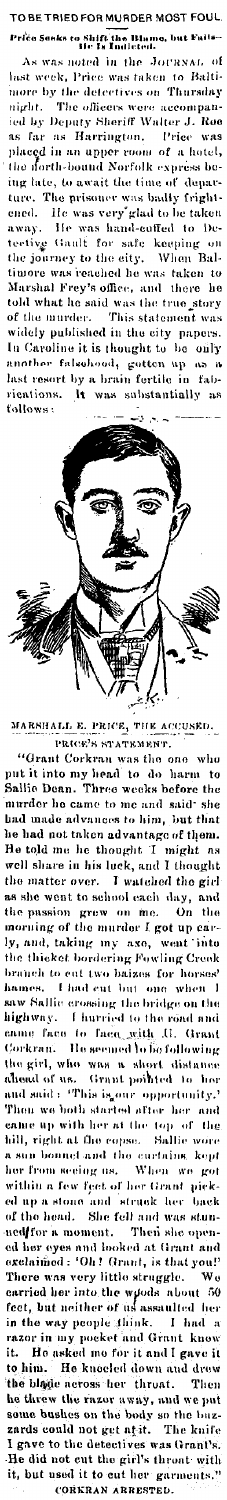RIED FOR MURDER MOST FOU! s to Shift the Blame<br>- He Is Indicted. , but k

the JOURNAL noted in noted in <sub>199</sub><br>Price was taken to Batu-<br>Sinus on Thursday of wn. hast week more by the detectives on The officers were accessively Sheriff Walter  $\dot{m}$ dit. a<mark>ccompan-</mark><br>dter J. Roe ied by Deputy Sheriff J. ...<br>Price  $f_{i1}$ Harrington. was  $\mathbf{a}$ placed in an upper room of a hotel<br>the north-bound Norfolk express be hotel, ing late, to await the time of depar The prisoner was badly fright-<br>He was very glad to be taken ture ened. He was hand-cuffed away.  $10<sub>0</sub>$ h. .<br>eetivy  $F_{\Omega}$ safe Gaulf the journey to the city. timore was reached he was taken to timore was reasonanced<br>Marshal Frey's office, and the<br>told what he said was the true there he stor This statement the murder. of was videly published in the city papers. In Caroline it is thought to  $\overrightarrow{ba}$ بزازره .<br>deuhood, nather gotten  $\frac{np}{n}$  $\mathbf{f}$ last resort by: fal brain fertile in  $\tilde{\mathbf{h}}$ rications substantially follows:



MARSHALL PRICE, 'IIK ACCUSED. PRICE'S STATEMENT

"Grant Corkran was the one rho put it into n<br>Sallie Dean. into my head to do har<br>Dean. Three weeks befor to e the murder he came to me and said she had made advances to him, but that had not taken advantage of them ì1e  $_{\rm he}$ He thought ۸s ell share in his luck, and I thought ī the e matter over.<br>she went to school each day, matter over. vatched the girl and the passion grew on me.<br>morning of the murder I got up carthe taking axe, in y y, and, taking my sam,<br>he thicket bordering Fowling Creek<br>sample to ant two haizes for horses! ł branch to eut I had cut but ï hames. one when .<br>Sallie er sing the bridge on the ć, highway. I hurried to the road and  $t_{0}$  $_{\rm face}$  $f_{RCD}$ with  $\bar{\mathbf{u}}$ mme Grant lo bo following He seemed forkran. the girl, who WILH sh .. dista the gree, who were a short<br>and said : "This is our opper<br>Then we both started after Grant pointed ١ò hm opportunity and  $_{\text{hcr}}$ of the rith her at the top .<br>Bil e up ( hill, right at the copse. Sallie tho sun bonnet and curtains. kopt .<br>When er from se<mark>cing</mark> as. wo got ithin a few feet of her Grant pickthin a ...<br>
up a stone and struck as .<br>
the head. She fell and was stun-<br>
"-- " moment. Then she opend of the head. ned for a moment. .<br>ed her ind looked at Grant and ed her eyes and<br>exclaimed : 'Oh ! Grant, is that you!' little struggle. ras very There  $\mathbf{r}$ carried her into the wiods about<br>feet, but neither of us assaulted about  $50$ .<br>her ray people think. in the ĥı  $\mathbf{I}$ d.  $\mathbf{a}$ in my pocket and Grant know razo<sub>1</sub> He asked me for it and I gave it it. He kneeled down and drew to him. blade across her throat. Then the he threw the razor away, and<br>some bushes on the body so t put we so the buz<br>The knife the zards could not get at it. .<br>Sctiv to the det Grant ٦ He did not cut the girl's thront with<br>it, but used it to cut her garments."

ED. CORKRAN ARREST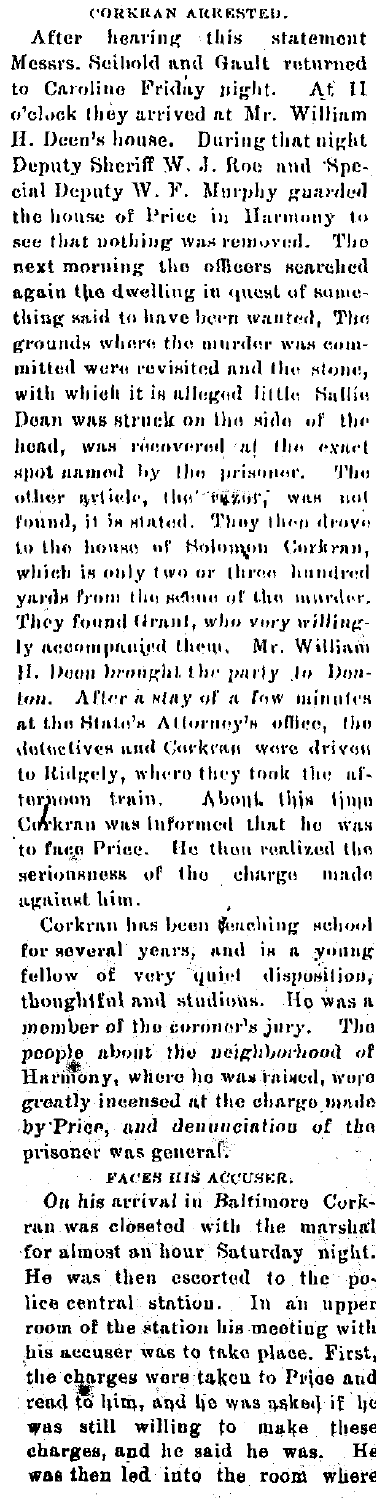## CORKRAN ARRESTED.

After hearing this statement Messrs. Scibold and Gault returned to Caroline Friday pight. At II<br>o'clock they arrived at Mr. William H. Deen's house. During that night<br>Deputy Sheriff W. J. Roe and 'Special Deputy W. F. Murphy guarded the house of Price in Harmony to see that nothing was removed. The next morning the officers searched again the dwelling in quest of something said to have been wanted, The grounds where the murder was committed were revisited and the stone. with which it is alleged little Sallie Dean was struck on the side of the head, was recovered at the exact snot named by the prisoner. The other article, the "same," was not found, it is stated. They then drove to the house of Solomon Corkran, which is only two or three hundred yards from the seame of the nurrder. They found Grant, who very willingly accompanied them. Mr. William H. Deen brought the party to Denton. After a stay of a few minutes at the State's Attorney's office, the datactives and Carkran ware driven to Ridgely, where they took the afternoon train. About this time Corkran was informed that he was to face Price. He then realized the seriousness of the charge -made against him.

Corkran has been feaching school for several years, and is a young fellow of very quiet disposition, thoughtful and studious. He was a member of the coroner's jury. The people about the neighborhood of Harmony, where he was raised, were greatly incensed at the charge made by Price, and denunciation of the prisoner was ceneral.

**FACES HIS ACCUSER.** 

On his arrival in Baltimore Corkran was closeted with the marshal for almost an hour Saturday night. He was then escorted to the police central station. In an upper room of the station his meeting with his accuser was to take place. First, the charges were taken to Price and read to him, and he was asked if he was still willing to make these<br>charges, and he said he was. He was then led into the room where